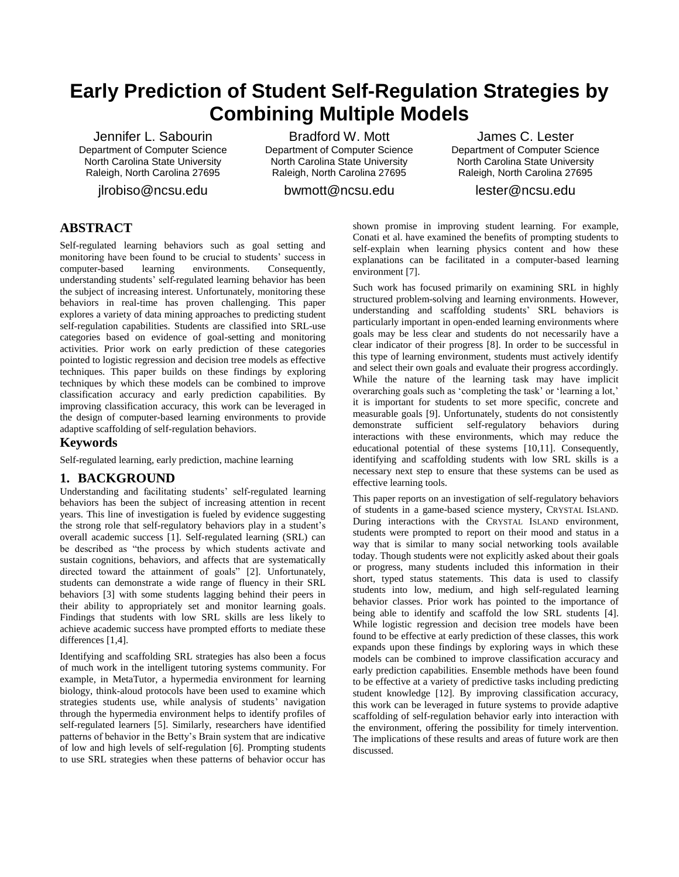# **Early Prediction of Student Self-Regulation Strategies by Combining Multiple Models**

Jennifer L. Sabourin Department of Computer Science North Carolina State University Raleigh, North Carolina 27695

jlrobiso@ncsu.edu

Bradford W. Mott Department of Computer Science North Carolina State University Raleigh, North Carolina 27695

bwmott@ncsu.edu

James C. Lester Department of Computer Science North Carolina State University Raleigh, North Carolina 27695

lester@ncsu.edu

# **ABSTRACT**

Self-regulated learning behaviors such as goal setting and monitoring have been found to be crucial to students' success in computer-based learning environments. Consequently, understanding students' self-regulated learning behavior has been the subject of increasing interest. Unfortunately, monitoring these behaviors in real-time has proven challenging. This paper explores a variety of data mining approaches to predicting student self-regulation capabilities. Students are classified into SRL-use categories based on evidence of goal-setting and monitoring activities. Prior work on early prediction of these categories pointed to logistic regression and decision tree models as effective techniques. This paper builds on these findings by exploring techniques by which these models can be combined to improve classification accuracy and early prediction capabilities. By improving classification accuracy, this work can be leveraged in the design of computer-based learning environments to provide adaptive scaffolding of self-regulation behaviors.

## **Keywords**

Self-regulated learning, early prediction, machine learning

## **1. BACKGROUND**

Understanding and facilitating students' self-regulated learning behaviors has been the subject of increasing attention in recent years. This line of investigation is fueled by evidence suggesting the strong role that self-regulatory behaviors play in a student's overall academic success [1]. Self-regulated learning (SRL) can be described as "the process by which students activate and sustain cognitions, behaviors, and affects that are systematically directed toward the attainment of goals" [2]. Unfortunately, students can demonstrate a wide range of fluency in their SRL behaviors [3] with some students lagging behind their peers in their ability to appropriately set and monitor learning goals. Findings that students with low SRL skills are less likely to achieve academic success have prompted efforts to mediate these differences [1,4].

Identifying and scaffolding SRL strategies has also been a focus of much work in the intelligent tutoring systems community. For example, in MetaTutor, a hypermedia environment for learning biology, think-aloud protocols have been used to examine which strategies students use, while analysis of students' navigation through the hypermedia environment helps to identify profiles of self-regulated learners [5]. Similarly, researchers have identified patterns of behavior in the Betty's Brain system that are indicative of low and high levels of self-regulation [6]. Prompting students to use SRL strategies when these patterns of behavior occur has

shown promise in improving student learning. For example, Conati et al. have examined the benefits of prompting students to self-explain when learning physics content and how these explanations can be facilitated in a computer-based learning environment [7].

Such work has focused primarily on examining SRL in highly structured problem-solving and learning environments. However, understanding and scaffolding students' SRL behaviors is particularly important in open-ended learning environments where goals may be less clear and students do not necessarily have a clear indicator of their progress [8]. In order to be successful in this type of learning environment, students must actively identify and select their own goals and evaluate their progress accordingly. While the nature of the learning task may have implicit overarching goals such as 'completing the task' or 'learning a lot,' it is important for students to set more specific, concrete and measurable goals [9]. Unfortunately, students do not consistently demonstrate sufficient self-regulatory behaviors during interactions with these environments, which may reduce the educational potential of these systems [10,11]. Consequently, identifying and scaffolding students with low SRL skills is a necessary next step to ensure that these systems can be used as effective learning tools.

This paper reports on an investigation of self-regulatory behaviors of students in a game-based science mystery, CRYSTAL ISLAND. During interactions with the CRYSTAL ISLAND environment, students were prompted to report on their mood and status in a way that is similar to many social networking tools available today. Though students were not explicitly asked about their goals or progress, many students included this information in their short, typed status statements. This data is used to classify students into low, medium, and high self-regulated learning behavior classes. Prior work has pointed to the importance of being able to identify and scaffold the low SRL students [4]. While logistic regression and decision tree models have been found to be effective at early prediction of these classes, this work expands upon these findings by exploring ways in which these models can be combined to improve classification accuracy and early prediction capabilities. Ensemble methods have been found to be effective at a variety of predictive tasks including predicting student knowledge [12]. By improving classification accuracy, this work can be leveraged in future systems to provide adaptive scaffolding of self-regulation behavior early into interaction with the environment, offering the possibility for timely intervention. The implications of these results and areas of future work are then discussed.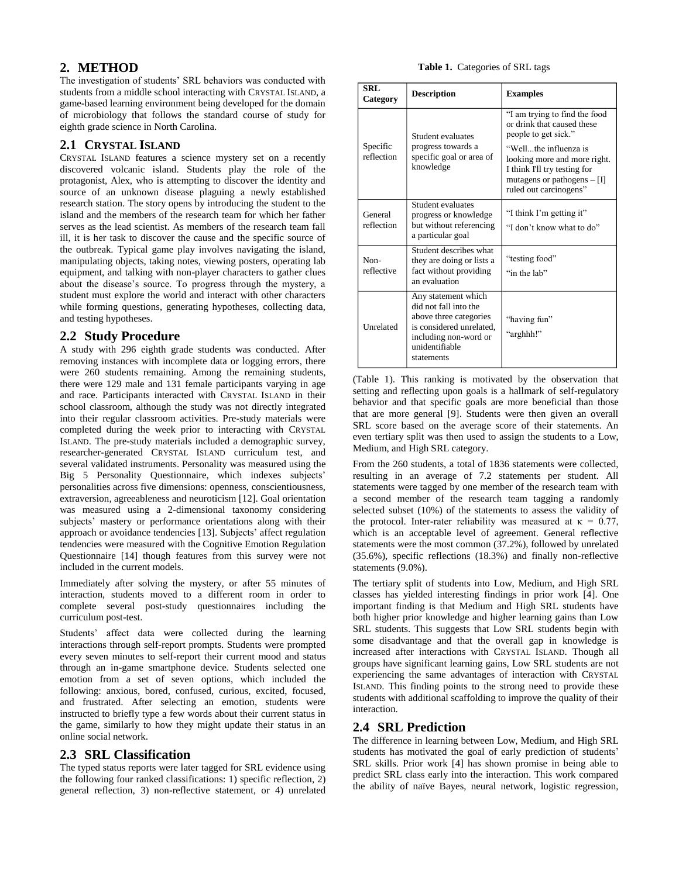# **2. METHOD**

The investigation of students' SRL behaviors was conducted with students from a middle school interacting with CRYSTAL ISLAND, a game-based learning environment being developed for the domain of microbiology that follows the standard course of study for eighth grade science in North Carolina.

## **2.1 CRYSTAL ISLAND**

CRYSTAL ISLAND features a science mystery set on a recently discovered volcanic island. Students play the role of the protagonist, Alex, who is attempting to discover the identity and source of an unknown disease plaguing a newly established research station. The story opens by introducing the student to the island and the members of the research team for which her father serves as the lead scientist. As members of the research team fall ill, it is her task to discover the cause and the specific source of the outbreak. Typical game play involves navigating the island, manipulating objects, taking notes, viewing posters, operating lab equipment, and talking with non-player characters to gather clues about the disease's source. To progress through the mystery, a student must explore the world and interact with other characters while forming questions, generating hypotheses, collecting data, and testing hypotheses.

# **2.2 Study Procedure**

A study with 296 eighth grade students was conducted. After removing instances with incomplete data or logging errors, there were 260 students remaining. Among the remaining students, there were 129 male and 131 female participants varying in age and race. Participants interacted with CRYSTAL ISLAND in their school classroom, although the study was not directly integrated into their regular classroom activities. Pre-study materials were completed during the week prior to interacting with CRYSTAL ISLAND. The pre-study materials included a demographic survey, researcher-generated CRYSTAL ISLAND curriculum test, and several validated instruments. Personality was measured using the Big 5 Personality Questionnaire, which indexes subjects' personalities across five dimensions: openness, conscientiousness, extraversion, agreeableness and neuroticism [12]. Goal orientation was measured using a 2-dimensional taxonomy considering subjects' mastery or performance orientations along with their approach or avoidance tendencies [13]. Subjects' affect regulation tendencies were measured with the Cognitive Emotion Regulation Questionnaire [14] though features from this survey were not included in the current models.

Immediately after solving the mystery, or after 55 minutes of interaction, students moved to a different room in order to complete several post-study questionnaires including the curriculum post-test.

Students' affect data were collected during the learning interactions through self-report prompts. Students were prompted every seven minutes to self-report their current mood and status through an in-game smartphone device. Students selected one emotion from a set of seven options, which included the following: anxious, bored, confused, curious, excited, focused, and frustrated. After selecting an emotion, students were instructed to briefly type a few words about their current status in the game, similarly to how they might update their status in an online social network.

# **2.3 SRL Classification**

The typed status reports were later tagged for SRL evidence using the following four ranked classifications: 1) specific reflection, 2) general reflection, 3) non-reflective statement, or 4) unrelated

#### **Table 1.** Categories of SRL tags

| <b>SRL</b><br>Category | <b>Description</b>                                                                                                                                          | <b>Examples</b>                                                                                                                                                                                                                         |  |  |  |
|------------------------|-------------------------------------------------------------------------------------------------------------------------------------------------------------|-----------------------------------------------------------------------------------------------------------------------------------------------------------------------------------------------------------------------------------------|--|--|--|
| Specific<br>reflection | Student evaluates<br>progress towards a<br>specific goal or area of<br>knowledge                                                                            | "I am trying to find the food<br>or drink that caused these<br>people to get sick."<br>"Wellthe influenza is<br>looking more and more right.<br>I think I'll try testing for<br>mutagens or pathogens $-$ [I]<br>ruled out carcinogens" |  |  |  |
| General<br>reflection  | Student evaluates<br>progress or knowledge<br>but without referencing<br>a particular goal                                                                  | "I think I'm getting it"<br>"I don't know what to do"                                                                                                                                                                                   |  |  |  |
| Non-<br>reflective     | Student describes what<br>they are doing or lists a<br>fact without providing<br>an evaluation                                                              | "testing food"<br>"in the lab"                                                                                                                                                                                                          |  |  |  |
| Unrelated              | Any statement which<br>did not fall into the<br>above three categories<br>is considered unrelated,<br>including non-word or<br>unidentifiable<br>statements | "having fun"<br>"arghhh!"                                                                                                                                                                                                               |  |  |  |

(Table 1). This ranking is motivated by the observation that setting and reflecting upon goals is a hallmark of self-regulatory behavior and that specific goals are more beneficial than those that are more general [9]. Students were then given an overall SRL score based on the average score of their statements. An even tertiary split was then used to assign the students to a Low, Medium, and High SRL category.

From the 260 students, a total of 1836 statements were collected, resulting in an average of 7.2 statements per student. All statements were tagged by one member of the research team with a second member of the research team tagging a randomly selected subset (10%) of the statements to assess the validity of the protocol. Inter-rater reliability was measured at  $\kappa = 0.77$ , which is an acceptable level of agreement. General reflective statements were the most common (37.2%), followed by unrelated (35.6%), specific reflections (18.3%) and finally non-reflective statements (9.0%).

The tertiary split of students into Low, Medium, and High SRL classes has yielded interesting findings in prior work [4]. One important finding is that Medium and High SRL students have both higher prior knowledge and higher learning gains than Low SRL students. This suggests that Low SRL students begin with some disadvantage and that the overall gap in knowledge is increased after interactions with CRYSTAL ISLAND. Though all groups have significant learning gains, Low SRL students are not experiencing the same advantages of interaction with CRYSTAL ISLAND. This finding points to the strong need to provide these students with additional scaffolding to improve the quality of their interaction.

# **2.4 SRL Prediction**

The difference in learning between Low, Medium, and High SRL students has motivated the goal of early prediction of students' SRL skills. Prior work [4] has shown promise in being able to predict SRL class early into the interaction. This work compared the ability of naïve Bayes, neural network, logistic regression,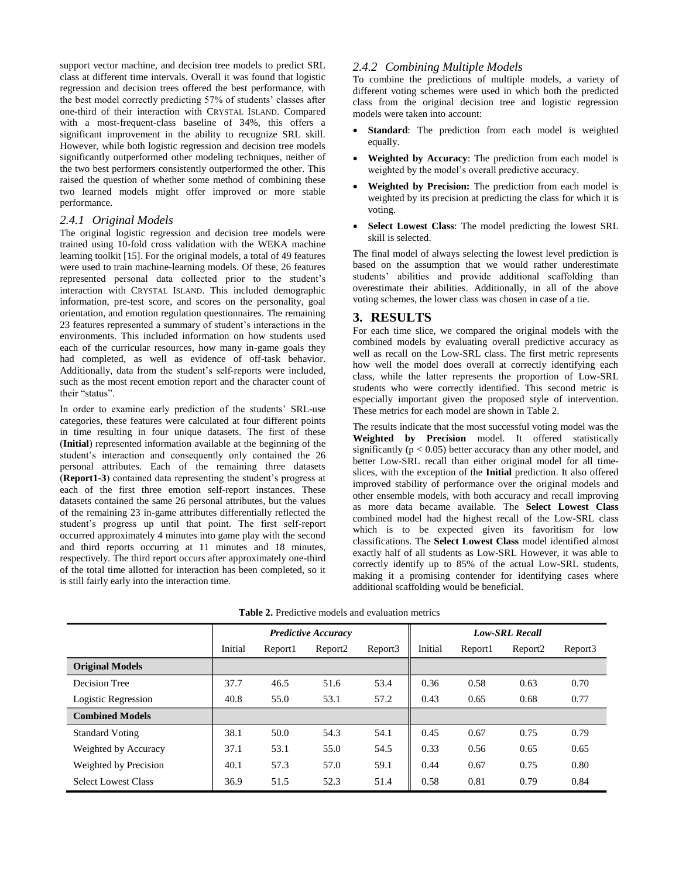support vector machine, and decision tree models to predict SRL class at different time intervals. Overall it was found that logistic regression and decision trees offered the best performance, with the best model correctly predicting 57% of students' classes after one-third of their interaction with CRYSTAL ISLAND. Compared with a most-frequent-class baseline of 34%, this offers a significant improvement in the ability to recognize SRL skill. However, while both logistic regression and decision tree models significantly outperformed other modeling techniques, neither of the two best performers consistently outperformed the other. This raised the question of whether some method of combining these two learned models might offer improved or more stable performance.

## *2.4.1 Original Models*

The original logistic regression and decision tree models were trained using 10-fold cross validation with the WEKA machine learning toolkit [15]. For the original models, a total of 49 features were used to train machine-learning models. Of these, 26 features represented personal data collected prior to the student's interaction with CRYSTAL ISLAND. This included demographic information, pre-test score, and scores on the personality, goal orientation, and emotion regulation questionnaires. The remaining 23 features represented a summary of student's interactions in the environments. This included information on how students used each of the curricular resources, how many in-game goals they had completed, as well as evidence of off-task behavior. Additionally, data from the student's self-reports were included, such as the most recent emotion report and the character count of their "status".

In order to examine early prediction of the students' SRL-use categories, these features were calculated at four different points in time resulting in four unique datasets. The first of these (**Initial**) represented information available at the beginning of the student's interaction and consequently only contained the 26 personal attributes. Each of the remaining three datasets (**Report1-3**) contained data representing the student's progress at each of the first three emotion self-report instances. These datasets contained the same 26 personal attributes, but the values of the remaining 23 in-game attributes differentially reflected the student's progress up until that point. The first self-report occurred approximately 4 minutes into game play with the second and third reports occurring at 11 minutes and 18 minutes, respectively. The third report occurs after approximately one-third of the total time allotted for interaction has been completed, so it is still fairly early into the interaction time.

## *2.4.2 Combining Multiple Models*

To combine the predictions of multiple models, a variety of different voting schemes were used in which both the predicted class from the original decision tree and logistic regression models were taken into account:

- **Standard**: The prediction from each model is weighted equally.
- **Weighted by Accuracy**: The prediction from each model is weighted by the model's overall predictive accuracy.
- **Weighted by Precision:** The prediction from each model is weighted by its precision at predicting the class for which it is voting.
- **Select Lowest Class**: The model predicting the lowest SRL skill is selected.

The final model of always selecting the lowest level prediction is based on the assumption that we would rather underestimate students' abilities and provide additional scaffolding than overestimate their abilities. Additionally, in all of the above voting schemes, the lower class was chosen in case of a tie.

## **3. RESULTS**

For each time slice, we compared the original models with the combined models by evaluating overall predictive accuracy as well as recall on the Low-SRL class. The first metric represents how well the model does overall at correctly identifying each class, while the latter represents the proportion of Low-SRL students who were correctly identified. This second metric is especially important given the proposed style of intervention. These metrics for each model are shown in Table 2.

The results indicate that the most successful voting model was the **Weighted by Precision** model. It offered statistically significantly ( $p < 0.05$ ) better accuracy than any other model, and better Low-SRL recall than either original model for all timeslices, with the exception of the **Initial** prediction. It also offered improved stability of performance over the original models and other ensemble models, with both accuracy and recall improving as more data became available. The **Select Lowest Class** combined model had the highest recall of the Low-SRL class which is to be expected given its favoritism for low classifications. The **Select Lowest Class** model identified almost exactly half of all students as Low-SRL However, it was able to correctly identify up to 85% of the actual Low-SRL students, making it a promising contender for identifying cases where additional scaffolding would be beneficial.

|                            | <b>Predictive Accuracy</b> |         |                     |         | <b>Low-SRL Recall</b> |         |                     |         |  |  |
|----------------------------|----------------------------|---------|---------------------|---------|-----------------------|---------|---------------------|---------|--|--|
|                            | Initial                    | Report1 | Report <sub>2</sub> | Report3 | Initial               | Report1 | Report <sub>2</sub> | Report3 |  |  |
| <b>Original Models</b>     |                            |         |                     |         |                       |         |                     |         |  |  |
| Decision Tree              | 37.7                       | 46.5    | 51.6                | 53.4    | 0.36                  | 0.58    | 0.63                | 0.70    |  |  |
| Logistic Regression        | 40.8                       | 55.0    | 53.1                | 57.2    | 0.43                  | 0.65    | 0.68                | 0.77    |  |  |
| <b>Combined Models</b>     |                            |         |                     |         |                       |         |                     |         |  |  |
| <b>Standard Voting</b>     | 38.1                       | 50.0    | 54.3                | 54.1    | 0.45                  | 0.67    | 0.75                | 0.79    |  |  |
| Weighted by Accuracy       | 37.1                       | 53.1    | 55.0                | 54.5    | 0.33                  | 0.56    | 0.65                | 0.65    |  |  |
| Weighted by Precision      | 40.1                       | 57.3    | 57.0                | 59.1    | 0.44                  | 0.67    | 0.75                | 0.80    |  |  |
| <b>Select Lowest Class</b> | 36.9                       | 51.5    | 52.3                | 51.4    | 0.58                  | 0.81    | 0.79                | 0.84    |  |  |